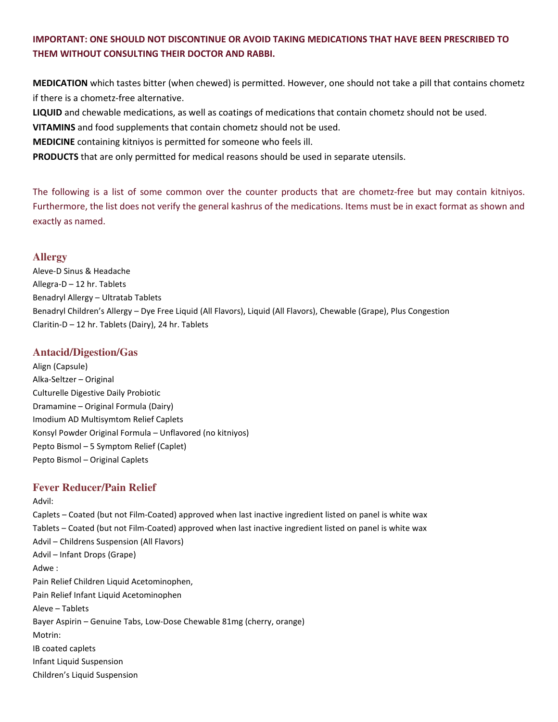# IMPORTANT: ONE SHOULD NOT DISCONTINUE OR AVOID TAKING MEDICATIONS THAT HAVE BEEN PRESCRIBED TO THEM WITHOUT CONSULTING THEIR DOCTOR AND RABBI.

MEDICATION which tastes bitter (when chewed) is permitted. However, one should not take a pill that contains chometz if there is a chometz-free alternative.

LIQUID and chewable medications, as well as coatings of medications that contain chometz should not be used.

VITAMINS and food supplements that contain chometz should not be used.

MEDICINE containing kitniyos is permitted for someone who feels ill.

PRODUCTS that are only permitted for medical reasons should be used in separate utensils.

The following is a list of some common over the counter products that are chometz-free but may contain kitniyos. Furthermore, the list does not verify the general kashrus of the medications. Items must be in exact format as shown and exactly as named.

#### **Allergy**

Aleve-D Sinus & Headache Allegra-D – 12 hr. Tablets Benadryl Allergy – Ultratab Tablets Benadryl Children's Allergy – Dye Free Liquid (All Flavors), Liquid (All Flavors), Chewable (Grape), Plus Congestion Claritin-D – 12 hr. Tablets (Dairy), 24 hr. Tablets

#### **Antacid/Digestion/Gas**

Align (Capsule) Alka-Seltzer – Original Culturelle Digestive Daily Probiotic Dramamine – Original Formula (Dairy) Imodium AD Multisymtom Relief Caplets Konsyl Powder Original Formula – Unflavored (no kitniyos) Pepto Bismol – 5 Symptom Relief (Caplet) Pepto Bismol – Original Caplets

# **Fever Reducer/Pain Relief**

Advil: Caplets – Coated (but not Film-Coated) approved when last inactive ingredient listed on panel is white wax Tablets – Coated (but not Film-Coated) approved when last inactive ingredient listed on panel is white wax Advil – Childrens Suspension (All Flavors) Advil – Infant Drops (Grape) Adwe : Pain Relief Children Liquid Acetominophen, Pain Relief Infant Liquid Acetominophen Aleve – Tablets Bayer Aspirin – Genuine Tabs, Low-Dose Chewable 81mg (cherry, orange) Motrin: IB coated caplets Infant Liquid Suspension Children's Liquid Suspension